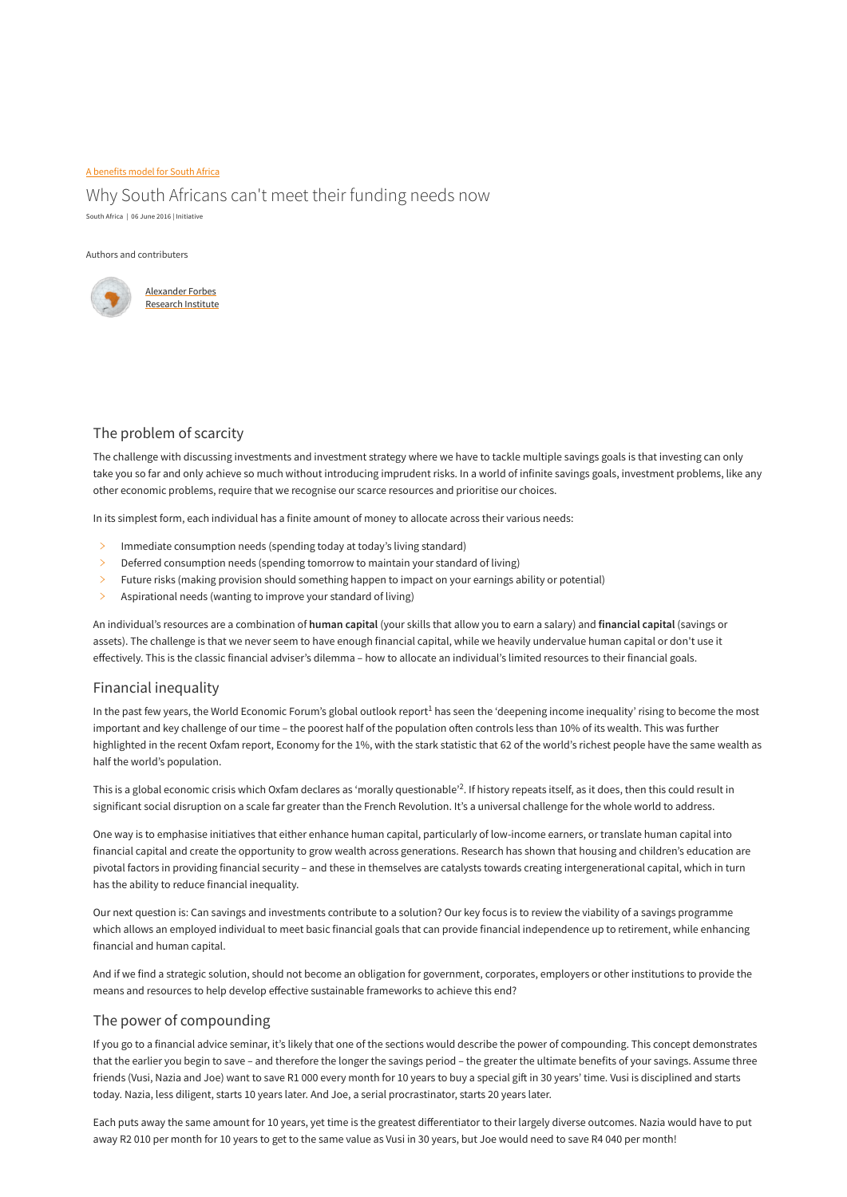#### [A benefits model for South Africa](https://research.alexanderforbes.com/parts/part-a-benefits-model-for-south-africa)

## Why South Africans can't meet their funding needs now

South Africa | 06 June 2016 | Initiative

#### Authors and contributers



### The problem of scarcity

The challenge with discussing investments and investment strategy where we have to tackle multiple savings goals is that investing can only take you so far and only achieve so much without introducing imprudent risks. In a world of infinite savings goals, investment problems, like any other economic problems, require that we recognise our scarce resources and prioritise our choices.

In its simplest form, each individual has a finite amount of money to allocate across their various needs:

- $\geq$  Immediate consumption needs (spending today at today's living standard)
- $\geq$  Deferred consumption needs (spending tomorrow to maintain your standard of living)
- $\geq$  Future risks (making provision should something happen to impact on your earnings ability or potential)
- $\geq$  Aspirational needs (wanting to improve your standard of living)

In the past few years, the World Economic Forum's global outlook report $^1$  has seen the 'deepening income inequality' rising to become the most important and key challenge of our time – the poorest half of the population often controls less than 10% of its wealth. This was further highlighted in the recent Oxfam report, Economy for the 1%, with the stark statistic that 62 of the world's richest people have the same wealth as half the world's population.

This is a global economic crisis which Oxfam declares as 'morally questionable'<sup>2</sup>. If history repeats itself, as it does, then this could result in significant social disruption on a scale far greater than the French Revolution. It's a universal challenge for the whole world to address.

An individual's resources are a combination of **human capital** (your skills that allow you to earn a salary) and **financial capital** (savings or assets). The challenge is that we never seem to have enough financial capital, while we heavily undervalue human capital or don't use it effectively. This is the classic financial adviser's dilemma – how to allocate an individual's limited resources to their financial goals.

#### Financial inequality

One way is to emphasise initiatives that either enhance human capital, particularly of low-income earners, or translate human capital into financial capital and create the opportunity to grow wealth across generations. Research has shown that housing and children's education are pivotal factors in providing financial security – and these in themselves are catalysts towards creating intergenerational capital, which in turn has the ability to reduce financial inequality.

Our next question is: Can savings and investments contribute to a solution? Our key focus is to review the viability of a savings programme which allows an employed individual to meet basic financial goals that can provide financial independence up to retirement, while enhancing financial and human capital.

And if we find a strategic solution, should not become an obligation for government, corporates, employers or other institutions to provide the means and resources to help develop effective sustainable frameworks to achieve this end?

### The power of compounding

If you go to a financial advice seminar, it's likely that one of the sections would describe the power of compounding. This concept demonstrates that the earlier you begin to save – and therefore the longer the savings period – the greater the ultimate benefits of your savings. Assume three friends (Vusi, Nazia and Joe) want to save R1 000 every month for 10 years to buy a special gift in 30 years' time. Vusi is disciplined and starts today. Nazia, less diligent, starts 10 years later. And Joe, a serial procrastinator, starts 20 years later.

Each puts away the same amount for 10 years, yet time is the greatest differentiator to their largely diverse outcomes. Nazia would have to put away R2 010 per month for 10 years to get to the same value as Vusi in 30 years, but Joe would need to save R4 040 per month!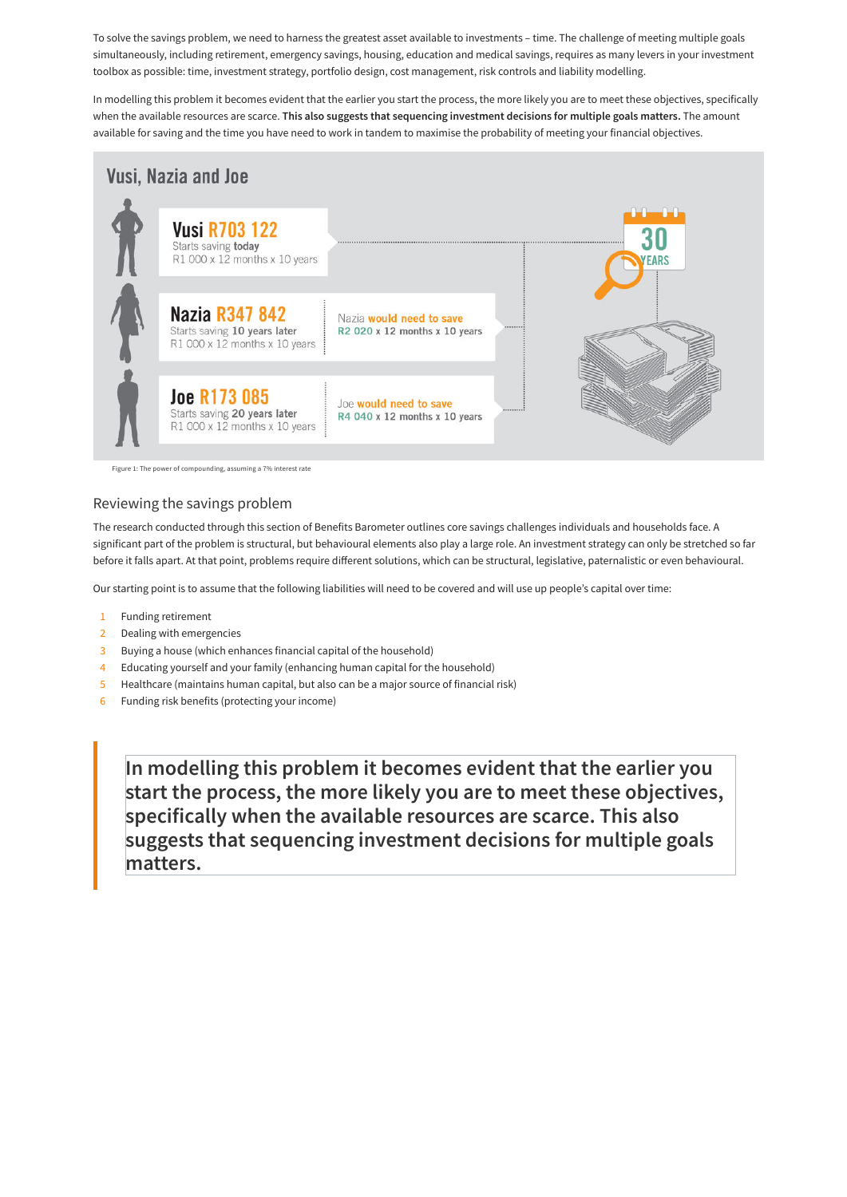To solve the savings problem, we need to harness the greatest asset available to investments – time. The challenge of meeting multiple goals simultaneously, including retirement, emergency savings, housing, education and medical savings, requires as many levers in your investment toolbox as possible: time, investment strategy, portfolio design, cost management, risk controls and liability modelling.

In modelling this problem it becomes evident that the earlier you start the process, the more likely you are to meet these objectives, specifically when the available resources are scarce. **This also suggests that sequencing investment decisions for multiple goals matters.** The amount available for saving and the time you have need to work in tandem to maximise the probability of meeting your financial objectives.



Figure 1: The power of compounding, assuming a 7% interest rate

### Reviewing the savings problem

The research conducted through this section of Benefits Barometer outlines core savings challenges individuals and households face. A significant part of the problem is structural, but behavioural elements also play a large role. An investment strategy can only be stretched so far before it falls apart. At that point, problems require different solutions, which can be structural, legislative, paternalistic or even behavioural.

Our starting point is to assume that the following liabilities will need to be covered and will use up people's capital over time:

- 1 Funding retirement
- 2 Dealing with emergencies
- 3 Buying a house (which enhances financial capital of the household)
- 4 Educating yourself and your family (enhancing human capital for the household)
- 5 Healthcare (maintains human capital, but also can be a major source of financial risk)
- 6 Funding risk benefits (protecting your income)

**In modelling this problem it becomes evident that the earlier you start the process, the more likely you are to meet these objectives, specifically when the available resources are scarce. This also suggests that sequencing investment decisions for multiple goals matters.**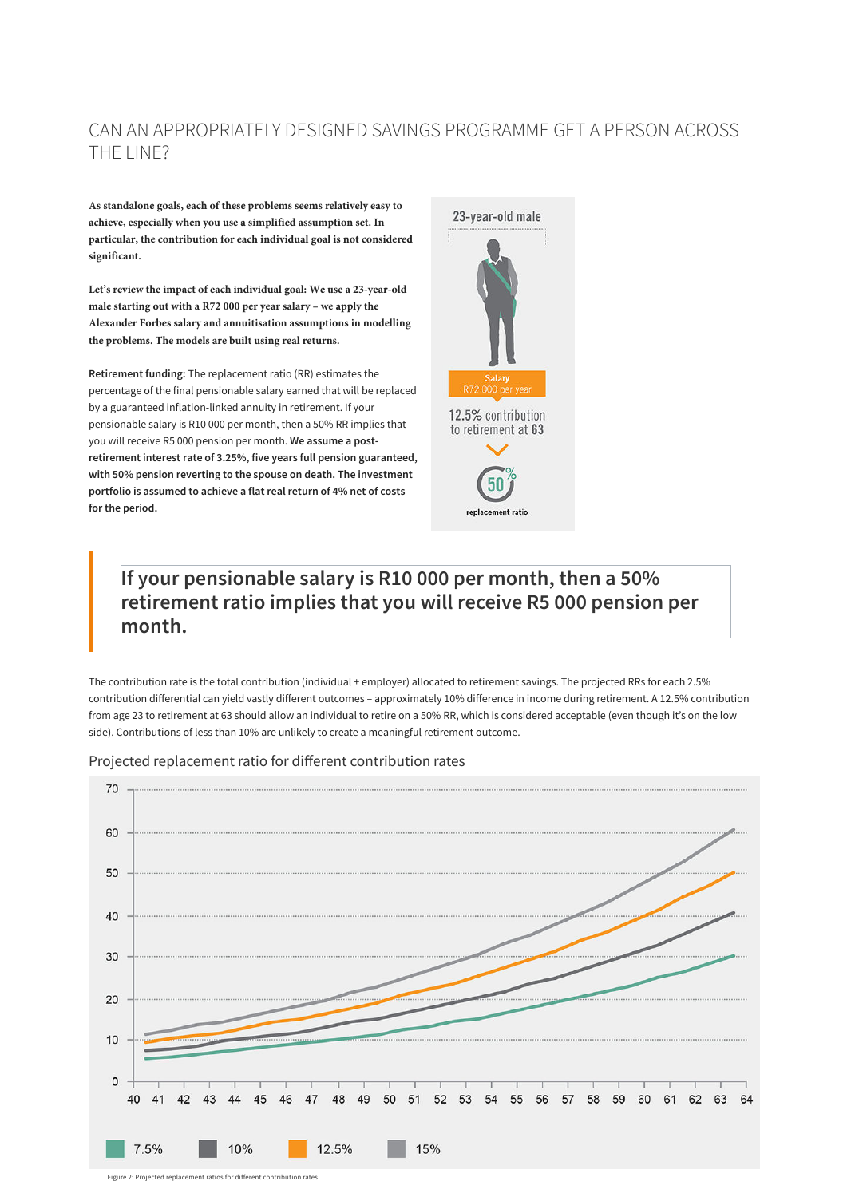**As standalone goals, each of these problems seems relatively easy to achieve, especially when you use a simplified assumption set. In particular, the contribution for each individual goal is not considered significant.**

**Let's review the impact of each individual goal: We use a 23-year-old male starting out with a R72 000 per year salary – we apply the Alexander Forbes salary and annuitisation assumptions in modelling the problems. The models are built using real returns.**

**Retirement funding:** The replacement ratio (RR) estimates the percentage of the final pensionable salary earned that will be replaced by a guaranteed inflation-linked annuity in retirement. If your pensionable salary is R10 000 per month, then a 50% RR implies that you will receive R5 000 pension per month. **We assume a postretirement interest rate of 3.25%, five years full pension guaranteed, with 50% pension reverting to the spouse on death. The investment portfolio is assumed to achieve a flat real return of 4% net of costs for the period.**



# **If your pensionable salary is R10 000 per month, then a 50% retirement ratio implies that you will receive R5 000 pension per month.**

The contribution rate is the total contribution (individual + employer) allocated to retirement savings. The projected RRs for each 2.5% contribution differential can yield vastly different outcomes – approximately 10% difference in income during retirement. A 12.5% contribution from age 23 to retirement at 63 should allow an individual to retire on a 50% RR, which is considered acceptable (even though it's on the low side). Contributions of less than 10% are unlikely to create a meaningful retirement outcome.

Projected replacement ratio for different contribution rates



Figure 2: Projected replacement ratios for different contribution rates

# CAN AN APPROPRIATELY DESIGNED SAVINGS PROGRAMME GET A PERSON ACROSS THE LINE?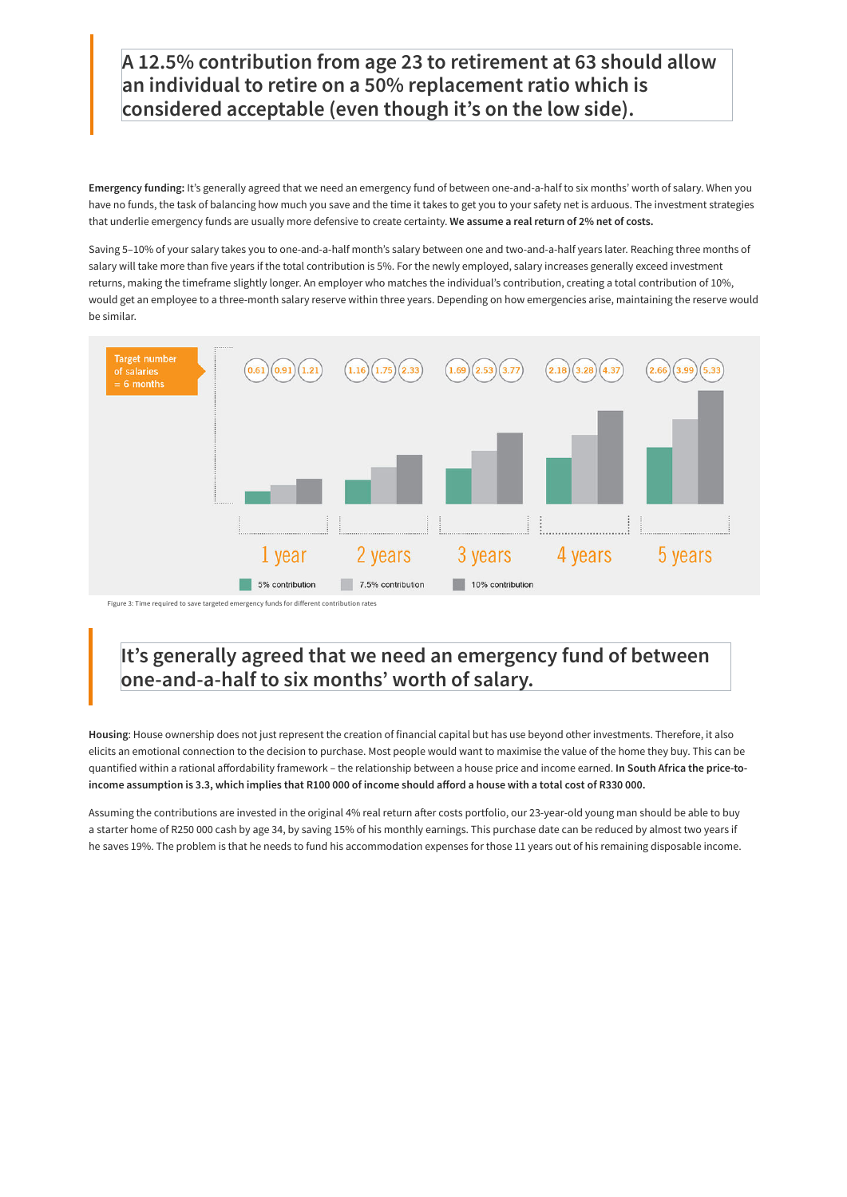**Emergency funding:** It's generally agreed that we need an emergency fund of between one-and-a-half to six months' worth of salary. When you have no funds, the task of balancing how much you save and the time it takes to get you to your safety net is arduous. The investment strategies that underlie emergency funds are usually more defensive to create certainty. **We assume a real return of 2% net of costs.**

Saving 5–10% of your salary takes you to one-and-a-half month's salary between one and two-and-a-half years later. Reaching three months of salary will take more than five years if the total contribution is 5%. For the newly employed, salary increases generally exceed investment returns, making the timeframe slightly longer. An employer who matches the individual's contribution, creating a total contribution of 10%, would get an employee to a three-month salary reserve within three years. Depending on how emergencies arise, maintaining the reserve would be similar.



Figure 3: Time required to save targeted emergency funds for different contribution rates

Assuming the contributions are invested in the original 4% real return after costs portfolio, our 23-year-old young man should be able to buy a starter home of R250 000 cash by age 34, by saving 15% of his monthly earnings. This purchase date can be reduced by almost two years if he saves 19%. The problem is that he needs to fund his accommodation expenses for those 11 years out of his remaining disposable income.

# **It's generally agreed that we need an emergency fund of between one-and-a-half to six months' worth of salary.**

**Housing**: House ownership does not just represent the creation of financial capital but has use beyond other investments. Therefore, it also elicits an emotional connection to the decision to purchase. Most people would want to maximise the value of the home they buy. This can be quantified within a rational affordability framework – the relationship between a house price and income earned. **In South Africa the price-toincome assumption is 3.3, which implies that R100 000 of income should afford a house with a total cost of R330 000.**

# **A 12.5% contribution from age 23 to retirement at 63 should allow an individual to retire on a 50% replacement ratio which is considered acceptable (even though it's on the low side).**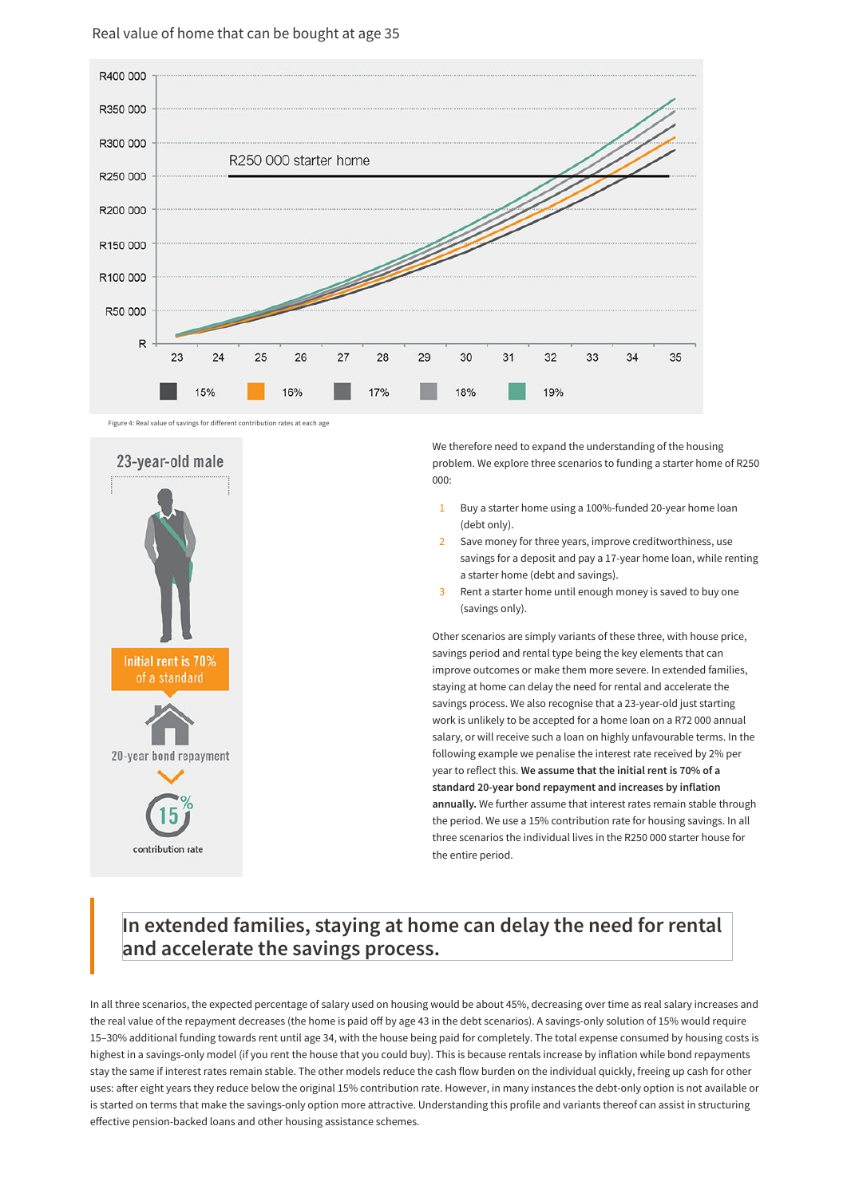We therefore need to expand the understanding of the housing problem. We explore three scenarios to funding a starter home of R250 000:

Other scenarios are simply variants of these three, with house price, savings period and rental type being the key elements that can improve outcomes or make them more severe. In extended families, staying at home can delay the need for rental and accelerate the savings process. We also recognise that a 23-year-old just starting work is unlikely to be accepted for a home loan on a R72 000 annual salary, or will receive such a loan on highly unfavourable terms. In the following example we penalise the interest rate received by 2% per year to reflect this. **We assume that the initial rent is 70% of a standard 20-year bond repayment and increases by inflation annually.** We further assume that interest rates remain stable through the period. We use a 15% contribution rate for housing savings. In all three scenarios the individual lives in the R250 000 starter house for the entire period.

- Buy a starter home using a 100%-funded 20-year home loan (debt only). 1
- Save money for three years, improve creditworthiness, use savings for a deposit and pay a 17-year home loan, while renting a starter home (debt and savings). 2
- Rent a starter home until enough money is saved to buy one (savings only). 3

# **In extended families, staying at home can delay the need for rental and accelerate the savings process.**

In all three scenarios, the expected percentage of salary used on housing would be about 45%, decreasing over time as real salary increases and the real value of the repayment decreases (the home is paid off by age 43 in the debt scenarios). A savings-only solution of 15% would require 15–30% additional funding towards rent until age 34, with the house being paid for completely. The total expense consumed by housing costs is highest in a savings-only model (if you rent the house that you could buy). This is because rentals increase by inflation while bond repayments stay the same if interest rates remain stable. The other models reduce the cash flow burden on the individual quickly, freeing up cash for other uses: after eight years they reduce below the original 15% contribution rate. However, in many instances the debt-only option is not available or is started on terms that make the savings-only option more attractive. Understanding this profile and variants thereof can assist in structuring effective pension-backed loans and other housing assistance schemes.

Figure 4: Real value of savings for different contribution rates at each age





### Real value of home that can be bought at age 35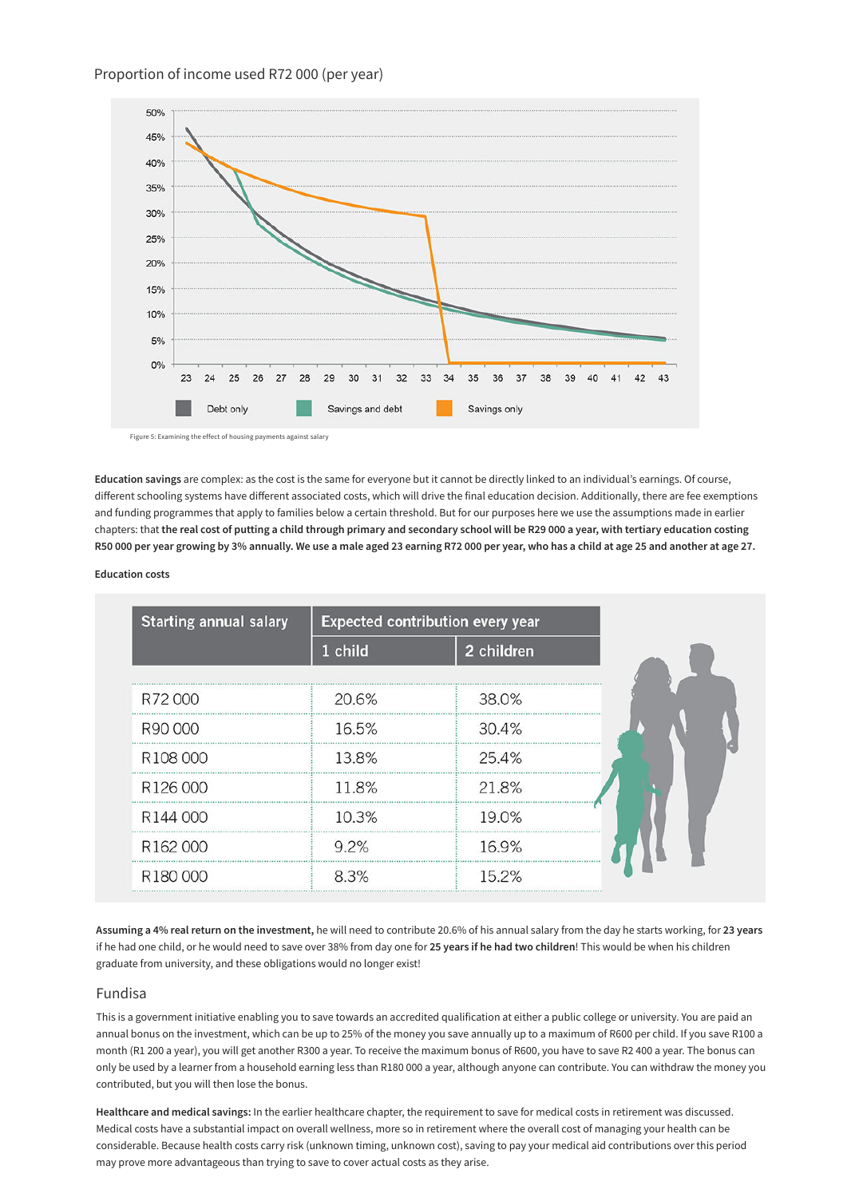**Education savings** are complex: as the cost is the same for everyone but it cannot be directly linked to an individual's earnings. Of course, different schooling systems have different associated costs, which will drive the final education decision. Additionally, there are fee exemptions and funding programmes that apply to families below a certain threshold. But for our purposes here we use the assumptions made in earlier chapters: that **the real cost of putting a child through primary and secondary school will be R29 000 a year, with tertiary education costing R50 000 per year growing by 3% annually. We use a male aged 23 earning R72 000 per year, who has a child at age 25 and another at age 27.**

#### **Education costs**

| <b>Starting annual salary</b> | <b>Expected contribution every year</b> |            |
|-------------------------------|-----------------------------------------|------------|
|                               | 1 child                                 | 2 children |
|                               |                                         |            |
| R72000                        | 20.6%                                   | 38.0%      |
| R90,000                       | 16.5%                                   | 30.4%      |
| R108000                       | 13.8%                                   | 25.4%      |
| R126 000                      | 11.8%                                   | 21.8%      |
| R144000                       | 10.3%                                   | 9.0%       |
| R <sub>162</sub> 000          | 92%                                     | 6.9%       |
| R180000                       | 8.3%                                    | 15.2%      |

**Assuming a 4% real return on the investment,** he will need to contribute 20.6% of his annual salary from the day he starts working, for **23 years** if he had one child, or he would need to save over 38% from day one for **25 years if he had two children**! This would be when his children graduate from university, and these obligations would no longer exist!

### Fundisa

This is a government initiative enabling you to save towards an accredited qualification at either a public college or university. You are paid an annual bonus on the investment, which can be up to 25% of the money you save annually up to a maximum of R600 per child. If you save R100 a month (R1 200 a year), you will get another R300 a year. To receive the maximum bonus of R600, you have to save R2 400 a year. The bonus can only be used by a learner from a household earning less than R180 000 a year, although anyone can contribute. You can withdraw the money you contributed, but you will then lose the bonus.

**Healthcare and medical savings:** In the earlier healthcare chapter, the requirement to save for medical costs in retirement was discussed. Medical costs have a substantial impact on overall wellness, more so in retirement where the overall cost of managing your health can be considerable. Because health costs carry risk (unknown timing, unknown cost), saving to pay your medical aid contributions over this period may prove more advantageous than trying to save to cover actual costs as they arise.



Figure 5: Examining the effect of housing payments against salary

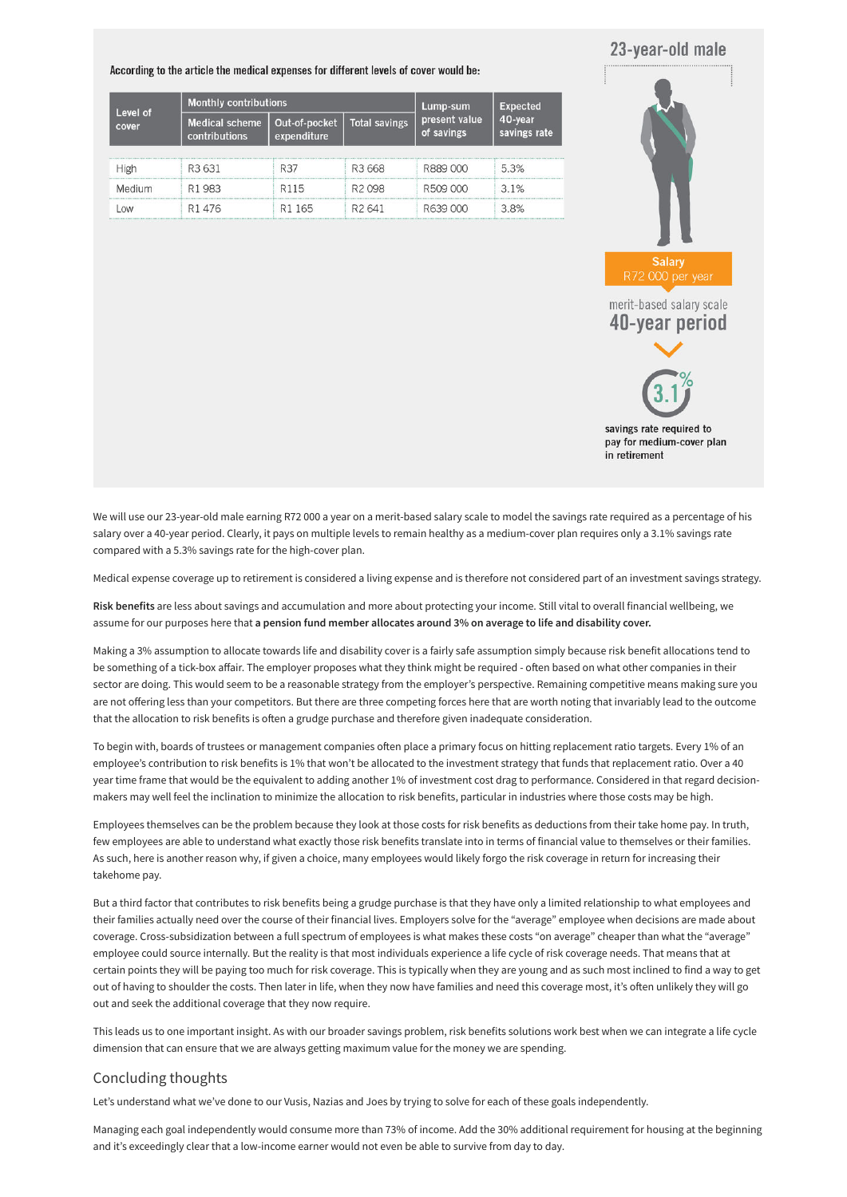## 23-year-old male

According to the article the medical expenses for different levels of cover would be:

| Level of<br>cover | <b>Monthly contributions</b>           |                              |                      | Lump-sum                    | <b>Expected</b>         |
|-------------------|----------------------------------------|------------------------------|----------------------|-----------------------------|-------------------------|
|                   | <b>Medical scheme</b><br>contributions | Out-of-pocket<br>expenditure | <b>Total savings</b> | present value<br>of savings | 40-year<br>savings rate |
| High              | R <sub>3</sub> 631                     | R37                          | R <sub>3</sub> 668   | R889 000                    | 5.3%                    |
| Medium            | R1983                                  | R <sub>115</sub>             | R <sub>2098</sub>    | R509 000                    | 3.1%                    |
|                   | R1476                                  | R1 165                       | R <sub>2</sub> 641   | R639 000                    | 3.8%                    |



We will use our 23-year-old male earning R72 000 a year on a merit-based salary scale to model the savings rate required as a percentage of his salary over a 40-year period. Clearly, it pays on multiple levels to remain healthy as a medium-cover plan requires only a 3.1% savings rate compared with a 5.3% savings rate for the high-cover plan.

Making a 3% assumption to allocate towards life and disability cover is a fairly safe assumption simply because risk benefit allocations tend to be something of a tick-box affair. The employer proposes what they think might be required - often based on what other companies in their sector are doing. This would seem to be a reasonable strategy from the employer's perspective. Remaining competitive means making sure you are not offering less than your competitors. But there are three competing forces here that are worth noting that invariably lead to the outcome that the allocation to risk benefits is often a grudge purchase and therefore given inadequate consideration.

Medical expense coverage up to retirement is considered a living expense and is therefore not considered part of an investment savings strategy.

**Risk benefits** are less about savings and accumulation and more about protecting your income. Still vital to overall financial wellbeing, we assume for our purposes here that **a pension fund member allocates around 3% on average to life and disability cover.**

To begin with, boards of trustees or management companies often place a primary focus on hitting replacement ratio targets. Every 1% of an employee's contribution to risk benefits is 1% that won't be allocated to the investment strategy that funds that replacement ratio. Over a 40 year time frame that would be the equivalent to adding another 1% of investment cost drag to performance. Considered in that regard decisionmakers may well feel the inclination to minimize the allocation to risk benefits, particular in industries where those costs may be high.

Employees themselves can be the problem because they look at those costs for risk benefits as deductions from their take home pay. In truth, few employees are able to understand what exactly those risk benefits translate into in terms of financial value to themselves or their families. As such, here is another reason why, if given a choice, many employees would likely forgo the risk coverage in return for increasing their takehome pay.

But a third factor that contributes to risk benefits being a grudge purchase is that they have only a limited relationship to what employees and their families actually need over the course of their financial lives. Employers solve for the "average" employee when decisions are made about coverage. Cross-subsidization between a full spectrum of employees is what makes these costs "on average" cheaper than what the "average" employee could source internally. But the reality is that most individuals experience a life cycle of risk coverage needs. That means that at certain points they will be paying too much for risk coverage. This is typically when they are young and as such most inclined to find a way to get out of having to shoulder the costs. Then later in life, when they now have families and need this coverage most, it's often unlikely they will go out and seek the additional coverage that they now require.

This leads us to one important insight. As with our broader savings problem, risk benefits solutions work best when we can integrate a life cycle dimension that can ensure that we are always getting maximum value for the money we are spending.

### Concluding thoughts

Let's understand what we've done to our Vusis, Nazias and Joes by trying to solve for each of these goals independently.

Managing each goal independently would consume more than 73% of income. Add the 30% additional requirement for housing at the beginning and it's exceedingly clear that a low-income earner would not even be able to survive from day to day.